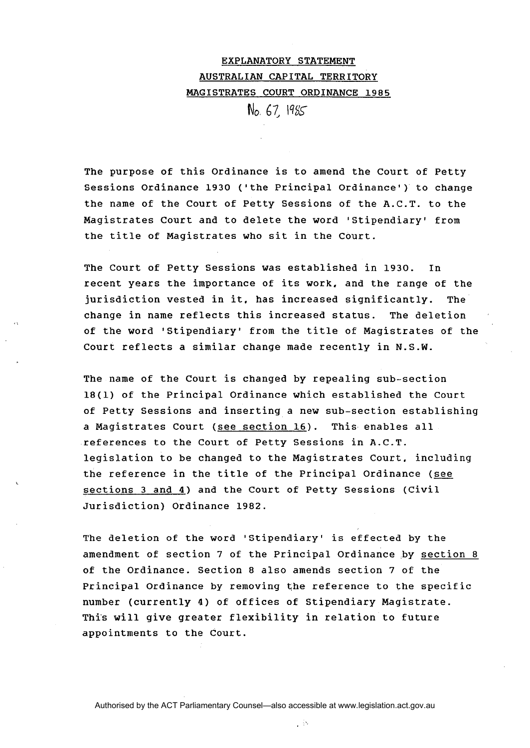## EXPLANATORY STATEMENT AUSTRAL IAN CAPITAL TERRITORY MAGISTRATES COURT ORDINANCE 1985

No *67,* IqSS

The purpose of this Ordinance is to amend the Court of Petty Sessions Ordinance 1930 ('the Principal Ordinance') to change the name of the Court of Petty Sessions of the A.C.T. to the Magistrates Court and to delete the word 'Stipendiary' from the title of Magistrates who sit in the Court.

The Court of Petty Sessions was established in 1930. In recent years the importance of its work, and the range of the jurisdiction vested in it, has increased significantly. The change in name reflects this increased status. The deletion of the word 'Stipendiary' from the title of Magistrates of the Court reflects a similar change made recently in N.S.W.

The name of the Court is changed by repealing sub-section 18(1) of the Principal Ordinance which established the Court of Petty Sessions and inserting a new sub-section establishing a Magistrates Court (see section 16). This enables all references to the Court of Petty Sessions in A.C.T. legislation to be changed to the Magistrates Court, including the reference in the title of the Principal Ordinance (see sections 3 and 4) and the Court of Petty Sessions (Civil Jurisdiction) Ordinance 1982.

The deletion of the word 'Stipendiary' is effected by the amendment of section 7 of the Principal Ordinance by section 8 of the Ordinance. Section 8 also amends section 7 of the Principal Ordinance by removing the reference to the specific number (currently 4) of offices of Stipendiary Magistrate. This will give greater flexibility in relation to future appointments to the Court.

Authorised by the ACT Parliamentary Counsel—also accessible at www.legislation.act.gov.au

 $\sim$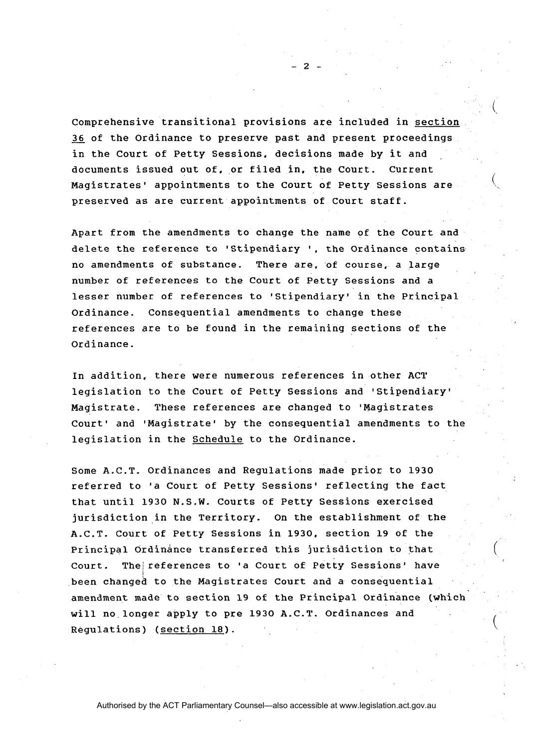Comprehensive transitional provisions are included in section 36 of the Ordinance to preserve past and present proceedings in the Court of Petty Sessions, decisions made by it and documents issued out of, or filed in, the Court. Current Magistrates' appointments to the Court of Petty Sessions are preserved as are current appointments of Court staff.

 $\overline{2}$ 

Apart from the amendments to change the name of the Court and delete the reference to 'Stipendiary ', the Ordinance contains no amendments of substance. There are, of course, a large number of references to the Court of Petty Sessions and a lesser number of references to 'Stipendiary' in the Principal Ordinance. Consequential amendments to change these references are to be found in the remaining sections of the Ordinance.

In addition, there were numerous references in other ACT legislation to the Court of Petty Sessions and 'Stipendiary' Magistrate. These references are changed to 'Magistrates Court' and 'Magistrate' by the consequential amendments to the legislation in the Schedule to the Ordinance.

Some A.C.T. Ordinances and Regulations made prior to **1930**  referred to 'a Court of Petty Sessions' reflecting the fact that until **1930** N.S.W. Courts of Petty Sessions exercised jurisdiction in the Territory. On the establishment of the A.C.T. Court of Petty Sessions in **1930,** section **19** of the Principal Ordinance transferred this jurisdiction to that Court. The/references to 'a Court of Petty Sessions' have been changed to the Magistrates Court and a consequential amendment made to section **19** of the Principal Ordinance (which will no longer apply to pre **1930** A.C.T. Ordinances and Regulations) (section **18).**